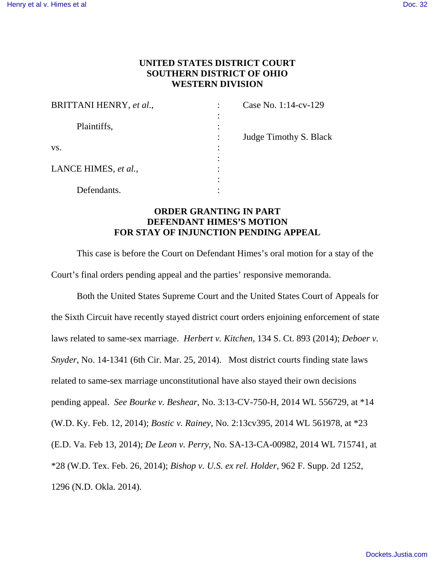## **UNITED STATES DISTRICT COURT SOUTHERN DISTRICT OF OHIO WESTERN DIVISION**

| BRITTANI HENRY, et al., | Case No. 1:14-cv-129   |
|-------------------------|------------------------|
| Plaintiffs,             | Judge Timothy S. Black |
| VS.                     |                        |
| LANCE HIMES, et al.,    |                        |
| Defendants.             |                        |

## **ORDER GRANTING IN PART DEFENDANT HIMES'S MOTION FOR STAY OF INJUNCTION PENDING APPEAL**

This case is before the Court on Defendant Himes's oral motion for a stay of the Court's final orders pending appeal and the parties' responsive memoranda.

 Both the United States Supreme Court and the United States Court of Appeals for the Sixth Circuit have recently stayed district court orders enjoining enforcement of state laws related to same-sex marriage. *Herbert v. Kitchen*, 134 S. Ct. 893 (2014); *Deboer v. Snyder*, No. 14-1341 (6th Cir. Mar. 25, 2014). Most district courts finding state laws related to same-sex marriage unconstitutional have also stayed their own decisions pending appeal. *See Bourke v. Beshear*, No. 3:13-CV-750-H, 2014 WL 556729, at \*14 (W.D. Ky. Feb. 12, 2014); *Bostic v. Rainey*, No. 2:13cv395, 2014 WL 561978, at \*23 (E.D. Va. Feb 13, 2014); *De Leon v. Perry*, No. SA-13-CA-00982, 2014 WL 715741, at \*28 (W.D. Tex. Feb. 26, 2014); *Bishop v. U.S. ex rel. Holder*, 962 F. Supp. 2d 1252, 1296 (N.D. Okla. 2014).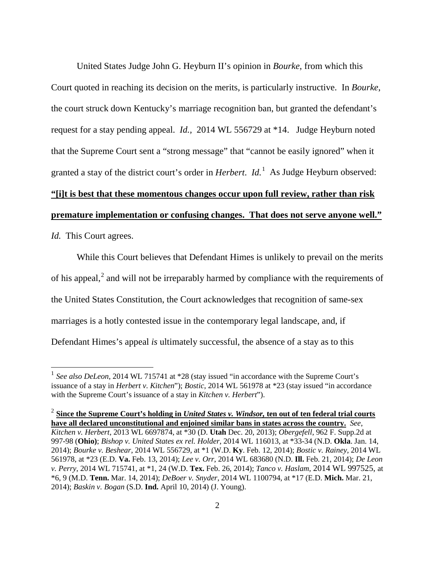United States Judge John G. Heyburn II's opinion in *Bourke*, from which this Court quoted in reaching its decision on the merits, is particularly instructive. In *Bourke*, the court struck down Kentucky's marriage recognition ban, but granted the defendant's request for a stay pending appeal. *Id.,* 2014 WL 556729 at \*14. Judge Heyburn noted that the Supreme Court sent a "strong message" that "cannot be easily ignored" when it granted a stay of the district court's order in *Herbert*. *Id.*[1](#page-1-0) As Judge Heyburn observed: **"[i]t is best that these momentous changes occur upon full review, rather than risk premature implementation or confusing changes. That does not serve anyone well."** *Id.* This Court agrees.

 While this Court believes that Defendant Himes is unlikely to prevail on the merits of his appeal,<sup>[2](#page-1-1)</sup> and will not be irreparably harmed by compliance with the requirements of the United States Constitution, the Court acknowledges that recognition of same-sex marriages is a hotly contested issue in the contemporary legal landscape, and, if Defendant Himes's appeal *is* ultimately successful, the absence of a stay as to this

 $\overline{a}$ 

<span id="page-1-0"></span><sup>&</sup>lt;sup>1</sup> See also DeLeon, 2014 WL 715741 at \*28 (stay issued "in accordance with the Supreme Court's issuance of a stay in *Herbert v. Kitchen*"); *Bostic*, 2014 WL 561978 at \*23 (stay issued "in accordance with the Supreme Court's issuance of a stay in *Kitchen v. Herbert*").

<span id="page-1-1"></span><sup>2</sup> **Since the Supreme Court's holding in** *United States v. Windsor,* **ten out of ten federal trial courts have all declared unconstitutional and enjoined similar bans in states across the country.** *See*, *Kitchen v. Herbert*, 2013 WL 6697874, at \*30 (D. **Utah** Dec. 20, 2013); *Obergefell*, 962 F. Supp.2d at 997-98 (**Ohio)**; *Bishop v. United States ex rel. Holder*, 2014 WL 116013, at \*33-34 (N.D. **Okla**. Jan. 14, 2014); *Bourke v. Beshear*, 2014 WL 556729, at \*1 (W.D. **Ky**. Feb. 12, 2014); *Bostic v. Rainey*, 2014 WL 561978, at \*23 (E.D. **Va.** Feb. 13, 2014); *Lee v. Orr*, 2014 WL 683680 (N.D. **Ill.** Feb. 21, 2014); *De Leon v. Perry*, 2014 WL 715741, at \*1, 24 (W.D. **Tex.** Feb. 26, 2014); *Tanco v. Haslam*, 2014 WL 997525, at \*6, 9 (M.D. **Tenn.** Mar. 14, 2014); *DeBoer v. Snyder*, 2014 WL 1100794, at \*17 (E.D. **Mich.** Mar. 21, 2014); *Baskin v. Bogan* (S.D. **Ind.** April 10, 2014) (J. Young).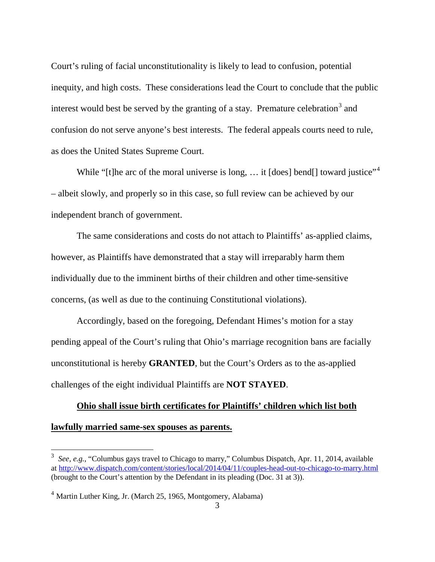Court's ruling of facial unconstitutionality is likely to lead to confusion, potential inequity, and high costs. These considerations lead the Court to conclude that the public interest would best be served by the granting of a stay. Premature celebration<sup>[3](#page-2-0)</sup> and confusion do not serve anyone's best interests. The federal appeals courts need to rule, as does the United States Supreme Court.

While "[t]he arc of the moral universe is long, ... it [does] bend[] toward justice"<sup>[4](#page-2-1)</sup> – albeit slowly, and properly so in this case, so full review can be achieved by our independent branch of government.

 The same considerations and costs do not attach to Plaintiffs' as-applied claims, however, as Plaintiffs have demonstrated that a stay will irreparably harm them individually due to the imminent births of their children and other time-sensitive concerns, (as well as due to the continuing Constitutional violations).

Accordingly, based on the foregoing, Defendant Himes's motion for a stay pending appeal of the Court's ruling that Ohio's marriage recognition bans are facially unconstitutional is hereby **GRANTED**, but the Court's Orders as to the as-applied challenges of the eight individual Plaintiffs are **NOT STAYED**.

## **Ohio shall issue birth certificates for Plaintiffs' children which list both lawfully married same-sex spouses as parents.**

<span id="page-2-0"></span> 3 *See, e.g.*, "Columbus gays travel to Chicago to marry," Columbus Dispatch, Apr. 11, 2014, available a[t http://www.dispatch.com/content/stories/local/2014/04/11/couples-head-out-to-chicago-to-marry.html](http://www.dispatch.com/content/stories/local/2014/04/11/couples-head-out-to-chicago-to-marry.html) (brought to the Court's attention by the Defendant in its pleading (Doc. 31 at 3)).

<span id="page-2-1"></span><sup>&</sup>lt;sup>4</sup> Martin Luther King, Jr. (March 25, 1965, Montgomery, Alabama)